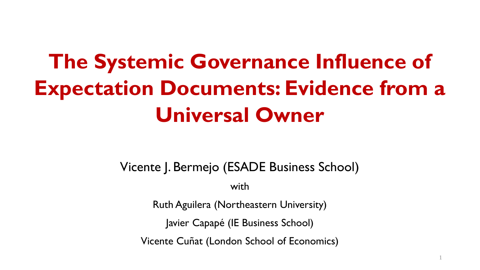# **The Systemic Governance Influence of Expectation Documents: Evidence from a Universal Owner**

Vicente J. Bermejo (ESADE Business School)

with

Ruth Aguilera (Northeastern University)

Javier Capapé (IE Business School)

Vicente Cuñat (London School of Economics)

1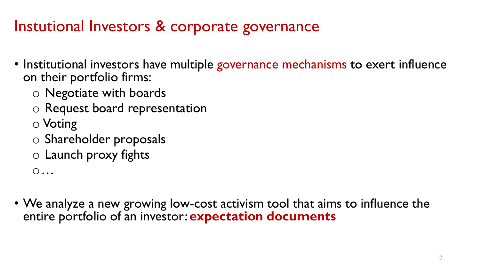### Instutional Investors & corporate governance

- Institutional investors have multiple governance mechanisms to exert influence on their portfolio firms:
	- o Negotiate with boards
	- o Request board representation
	- o Voting
	- o Shareholder proposals
	- o Launch proxy fights

o…

• We analyze a new growing low-cost activism tool that aims to influence the entire portfolio of an investor: **expectation documents**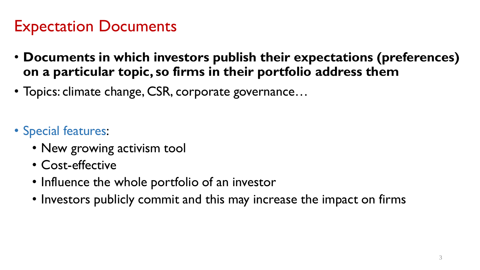### Expectation Documents

- **Documents in which investors publish their expectations (preferences) on a particular topic, so firms in their portfolio address them**
- Topics: climate change, CSR, corporate governance…
- Special features:
	- New growing activism tool
	- Cost-effective
	- Influence the whole portfolio of an investor
	- Investors publicly commit and this may increase the impact on firms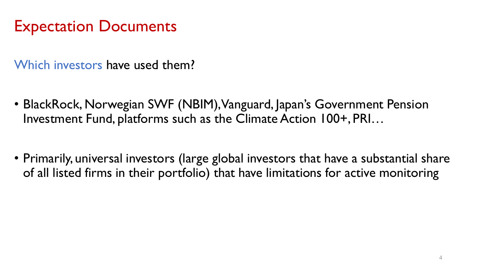#### Expectation Documents

Which investors have used them?

- BlackRock, Norwegian SWF (NBIM), Vanguard, Japan's Government Pension Investment Fund, platforms such as the Climate Action 100+, PRI…
- Primarily, universal investors (large global investors that have a substantial share of all listed firms in their portfolio) that have limitations for active monitoring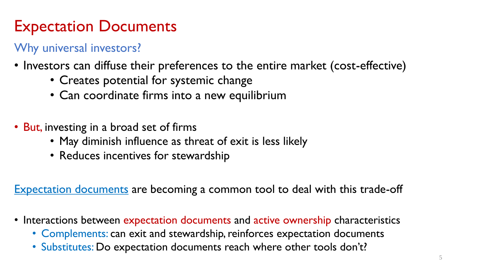### Expectation Documents

#### Why universal investors?

- Investors can diffuse their preferences to the entire market (cost-effective)
	- Creates potential for systemic change
	- Can coordinate firms into a new equilibrium
- But, investing in a broad set of firms
	- May diminish influence as threat of exit is less likely
	- Reduces incentives for stewardship

Expectation documents are becoming a common tool to deal with this trade-off

- Interactions between expectation documents and active ownership characteristics
	- Complements: can exit and stewardship, reinforces expectation documents
	- Substitutes: Do expectation documents reach where other tools don't?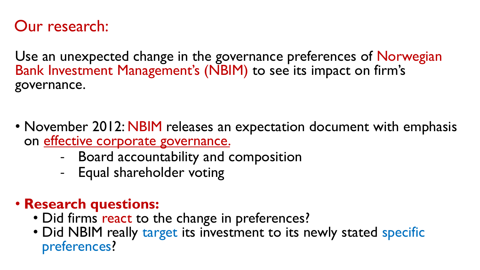#### Our research:

Use an unexpected change in the governance preferences of Norwegian Bank Investment Management's (NBIM) to see its impact on firm's governance.

- November 2012: NBIM releases an expectation document with emphasis on effective corporate governance.
	- Board accountability and composition
	- Equal shareholder voting
- **Research questions:**
	- Did firms react to the change in preferences?
	- Did NBIM really target its investment to its newly stated specific preferences?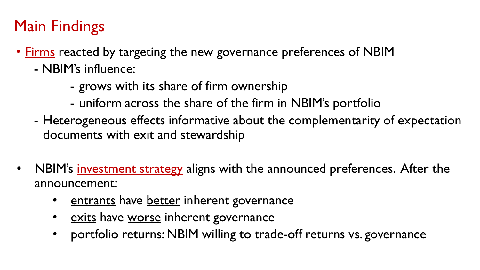## Main Findings

- Firms reacted by targeting the new governance preferences of NBIM
	- NBIM's influence:
		- grows with its share of firm ownership
		- uniform across the share of the firm in NBIM's portfolio
	- Heterogeneous effects informative about the complementarity of expectation documents with exit and stewardship
- NBIM's investment strategy aligns with the announced preferences. After the announcement:
	- entrants have better inherent governance
	- exits have worse inherent governance
	- portfolio returns: NBIM willing to trade-off returns vs. governance